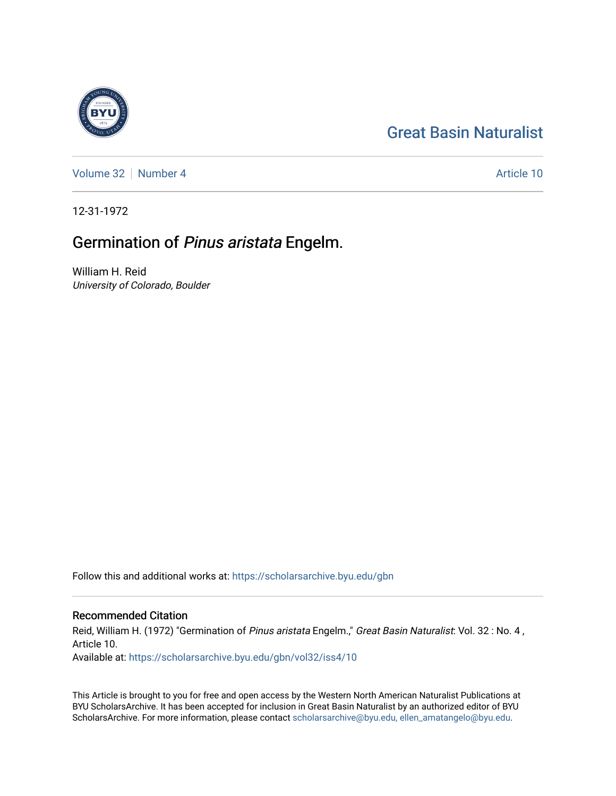# [Great Basin Naturalist](https://scholarsarchive.byu.edu/gbn)

[Volume 32](https://scholarsarchive.byu.edu/gbn/vol32) [Number 4](https://scholarsarchive.byu.edu/gbn/vol32/iss4) Article 10

12-31-1972

# Germination of Pinus aristata Engelm.

William H. Reid University of Colorado, Boulder

Follow this and additional works at: [https://scholarsarchive.byu.edu/gbn](https://scholarsarchive.byu.edu/gbn?utm_source=scholarsarchive.byu.edu%2Fgbn%2Fvol32%2Fiss4%2F10&utm_medium=PDF&utm_campaign=PDFCoverPages) 

## Recommended Citation

Reid, William H. (1972) "Germination of Pinus aristata Engelm.," Great Basin Naturalist: Vol. 32 : No. 4, Article 10. Available at: [https://scholarsarchive.byu.edu/gbn/vol32/iss4/10](https://scholarsarchive.byu.edu/gbn/vol32/iss4/10?utm_source=scholarsarchive.byu.edu%2Fgbn%2Fvol32%2Fiss4%2F10&utm_medium=PDF&utm_campaign=PDFCoverPages) 

This Article is brought to you for free and open access by the Western North American Naturalist Publications at BYU ScholarsArchive. It has been accepted for inclusion in Great Basin Naturalist by an authorized editor of BYU ScholarsArchive. For more information, please contact [scholarsarchive@byu.edu, ellen\\_amatangelo@byu.edu.](mailto:scholarsarchive@byu.edu,%20ellen_amatangelo@byu.edu)

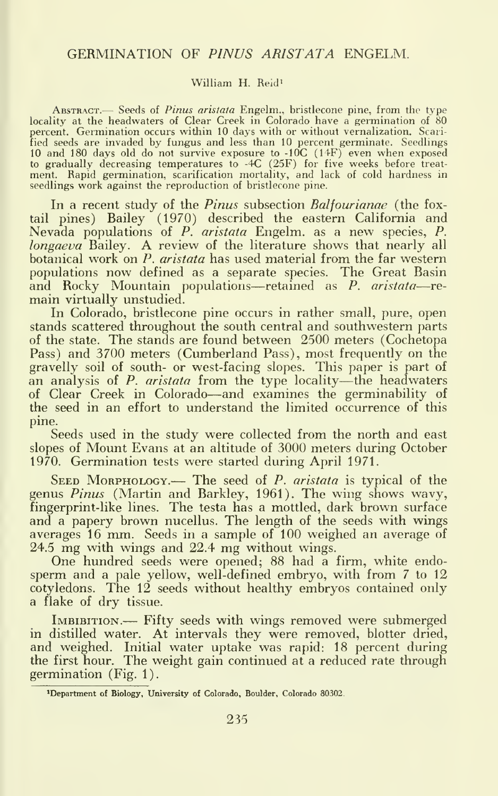### GERMINATION OF PINUS ARISTATA ENGELM.

#### William H. Reid'

ABSTRACT.— Seeds of Pinus aristata Engelm., bristlecone pine, from the type locality at the headwaters of Clear Creek in Colorado have a germination of 80 percent. Germination occurs within 10 days with or without vernalization. Scarified seeds are invaded by fungus and less than 10 percent germinate. Seedlings<br>10 and 180 days old do not survive exposure to -10C (14F) even when exposed<br>to gradually decreasing temperatures to -4C (25F) for five weeks be seedlings work against the reproduction of bristlecone pine.

In a recent study of the *Pinus* subsection *Balfourianae* (the foxtail pines) Bailey (1970) described the eastern California and Nevada populations of P. aristata Engelm. as a new species, P. longaeva Bailey. A review of the literature shows that nearly all botanical work on P. *aristata* has used material from the far western populations now defined as <sup>a</sup> separate species. The Great Basin and Rocky Mountain populations—retained as P. aristata—re- main virtually unstudied.

In Colorado, bristlecone pine occurs in rather small, pure, open stands scattered throughout the south central and southwestern parts of the state. The stands are found between 2500 meters (Cochetopa Pass) and 3700 meters (Cumberland Pass), most frequently on the gravelly soil of south- or west-facing slopes. This paper is part of an analysis of  $P$ . aristata from the type locality—the headwaters of Clear Creek in Colorado—and examines the germinability of the seed in an effort to understand the limited occurrence of this pine.

Seeds used in the study were collected from the north and east slopes of Mount Evans at an altitude of 3000 meters during October 1970. Germination tests were started during April 1971.

SEED MORPHOLOGY.— The seed of  $P$ . aristata is typical of the genus Pinus (Martin and Barkley, 1961). The wing shows wavy, fingerprint-like lines. The testa has a mottled, dark brown surface and a papery brown nucellus. The length of the seeds with wings averages 16 mm. Seeds in <sup>a</sup> sample of 100 weighed an average of 24.5 mg with wings and 22.4 mg without wings.

One hundred seeds were opened; 88 had a firm, white endo sperm and a pale yellow, well-defined embryo, with from 7 to 12 cotyledons. The 12 seeds without healthy embryos contained only a flake of dry tissue.

IMBIBITION.— Fifty seeds with wings removed were submerged in distilled water. At intervals they were removed, blotter dried, and weighed. Initial water uptake was rapid: 18 percent during the first hour. The weight gain continued at a reduced rate through germination (Fig. 1).

<sup>&#</sup>x27;Department of Biology, University of Colorado, Boulder, Colorado 80302.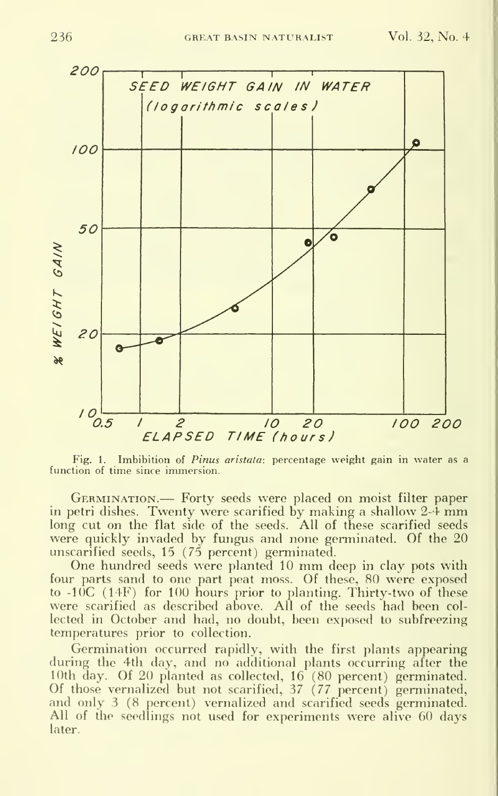

Fig. 1. Imbibition of *Pinus aristata*: percentage weight gain in water as a function of time since immersion.

Germination.— Forty seeds were placed on moist filter paper in petri dishes. Twenty were scarified by making <sup>a</sup> shallow 2-4 mm long cut on the flat side of the seeds. All of these scarified seeds were quickly invaded by fungus and none germinated. Of the 20 unscarified seeds, 15 (75 percent) germinated.

One hundred seeds were planted <sup>10</sup> mm deep in clay pots with four parts sand to one part peat moss. Of these, 80 were exposed to -IOC (14F) for 100 hours prior to planting. Thirty-two of these were scarified as described above. All of the seeds had been col lected in October and had, no doubt, been exposed to subfreezing temperatures prior to collection.

Germination occurred rapidly, with the first plants appearing during the 4th day, and no additional plants occurring after the <sup>1</sup> 0th (lay. Of 20 planted as collected, 16 (80 percent) germinated. Of those vernalized but not scarified, 37 {77 percent) germinated, and only 3 (8 percent) vernalized and scarified seeds germinated. All of the seedlings not used for experiments were alive 60 days later.